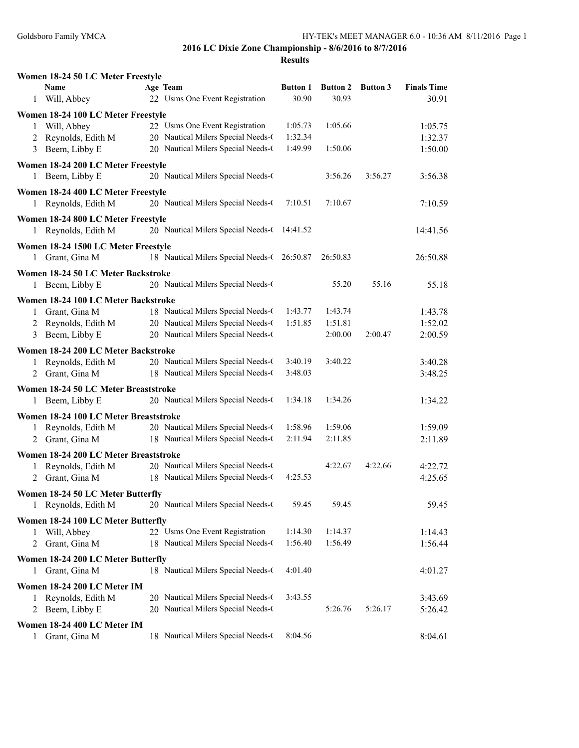|              | Women 18-24 50 LC Meter Freestyle                        |                                                                      |                          |                          |                 |                             |  |
|--------------|----------------------------------------------------------|----------------------------------------------------------------------|--------------------------|--------------------------|-----------------|-----------------------------|--|
| 1            | <b>Name</b><br>Will, Abbey                               | Age Team<br>22 Usms One Event Registration                           | <b>Button 1</b><br>30.90 | <b>Button 2</b><br>30.93 | <b>Button 3</b> | <b>Finals Time</b><br>30.91 |  |
|              |                                                          |                                                                      |                          |                          |                 |                             |  |
|              | Women 18-24 100 LC Meter Freestyle                       |                                                                      |                          |                          |                 |                             |  |
|              | 1 Will, Abbey                                            | 22 Usms One Event Registration<br>20 Nautical Milers Special Needs-0 | 1:05.73<br>1:32.34       | 1:05.66                  |                 | 1:05.75                     |  |
| 2            | Reynolds, Edith M<br>Beem, Libby E                       | 20 Nautical Milers Special Needs-0                                   | 1:49.99                  | 1:50.06                  |                 | 1:32.37<br>1:50.00          |  |
| 3            |                                                          |                                                                      |                          |                          |                 |                             |  |
|              | Women 18-24 200 LC Meter Freestyle                       |                                                                      |                          |                          |                 |                             |  |
|              | 1 Beem, Libby E                                          | 20 Nautical Milers Special Needs-0                                   |                          | 3:56.26                  | 3:56.27         | 3:56.38                     |  |
|              | Women 18-24 400 LC Meter Freestyle                       |                                                                      |                          |                          |                 |                             |  |
|              | 1 Reynolds, Edith M                                      | 20 Nautical Milers Special Needs-0                                   | 7:10.51                  | 7:10.67                  |                 | 7:10.59                     |  |
|              | Women 18-24 800 LC Meter Freestyle                       |                                                                      |                          |                          |                 |                             |  |
|              | 1 Reynolds, Edith M                                      | 20 Nautical Milers Special Needs-(14:41.52                           |                          |                          |                 | 14:41.56                    |  |
|              | Women 18-24 1500 LC Meter Freestyle                      |                                                                      |                          |                          |                 |                             |  |
| $\mathbf{1}$ | Grant, Gina M                                            | 18 Nautical Milers Special Needs-0 26:50.87                          |                          | 26:50.83                 |                 | 26:50.88                    |  |
|              |                                                          |                                                                      |                          |                          |                 |                             |  |
|              | Women 18-24 50 LC Meter Backstroke                       | 20 Nautical Milers Special Needs-0                                   |                          | 55.20                    | 55.16           | 55.18                       |  |
|              | 1 Beem, Libby E                                          |                                                                      |                          |                          |                 |                             |  |
|              | Women 18-24 100 LC Meter Backstroke                      |                                                                      |                          |                          |                 |                             |  |
| 1            | Grant, Gina M                                            | 18 Nautical Milers Special Needs-0                                   | 1:43.77                  | 1:43.74                  |                 | 1:43.78                     |  |
| 2            | Reynolds, Edith M                                        | 20 Nautical Milers Special Needs-0                                   | 1:51.85                  | 1:51.81                  |                 | 1:52.02                     |  |
| 3            | Beem, Libby E                                            | 20 Nautical Milers Special Needs-0                                   |                          | 2:00.00                  | 2:00.47         | 2:00.59                     |  |
|              | Women 18-24 200 LC Meter Backstroke                      |                                                                      |                          |                          |                 |                             |  |
| $\mathbf{1}$ | Reynolds, Edith M                                        | 20 Nautical Milers Special Needs-0                                   | 3:40.19                  | 3:40.22                  |                 | 3:40.28                     |  |
|              | 2 Grant, Gina M                                          | 18 Nautical Milers Special Needs-0                                   | 3:48.03                  |                          |                 | 3:48.25                     |  |
|              | Women 18-24 50 LC Meter Breaststroke                     |                                                                      |                          |                          |                 |                             |  |
|              | 1 Beem, Libby E                                          | 20 Nautical Milers Special Needs-0                                   | 1:34.18                  | 1:34.26                  |                 | 1:34.22                     |  |
|              | Women 18-24 100 LC Meter Breaststroke                    |                                                                      |                          |                          |                 |                             |  |
| 1            | Reynolds, Edith M                                        | 20 Nautical Milers Special Needs-0                                   | 1:58.96                  | 1:59.06                  |                 | 1:59.09                     |  |
| 2            | Grant, Gina M                                            | 18 Nautical Milers Special Needs-0                                   | 2:11.94                  | 2:11.85                  |                 | 2:11.89                     |  |
|              | Women 18-24 200 LC Meter Breaststroke                    |                                                                      |                          |                          |                 |                             |  |
|              | Reynolds, Edith M                                        | 20 Nautical Milers Special Needs-0                                   |                          | 4:22.67                  | 4:22.66         | 4:22.72                     |  |
| 2            | Grant, Gina M                                            | 18 Nautical Milers Special Needs-0                                   | 4:25.53                  |                          |                 | 4:25.65                     |  |
|              |                                                          |                                                                      |                          |                          |                 |                             |  |
|              | Women 18-24 50 LC Meter Butterfly<br>1 Reynolds, Edith M | 20 Nautical Milers Special Needs-0                                   | 59.45                    | 59.45                    |                 | 59.45                       |  |
|              |                                                          |                                                                      |                          |                          |                 |                             |  |
|              | Women 18-24 100 LC Meter Butterfly                       |                                                                      |                          |                          |                 |                             |  |
| 1            | Will, Abbey                                              | 22 Usms One Event Registration                                       | 1:14.30                  | 1:14.37                  |                 | 1:14.43                     |  |
| 2            | Grant, Gina M                                            | 18 Nautical Milers Special Needs-0                                   | 1:56.40                  | 1:56.49                  |                 | 1:56.44                     |  |
|              | Women 18-24 200 LC Meter Butterfly                       |                                                                      |                          |                          |                 |                             |  |
|              | 1 Grant, Gina M                                          | 18 Nautical Milers Special Needs-0                                   | 4:01.40                  |                          |                 | 4:01.27                     |  |
|              | Women 18-24 200 LC Meter IM                              |                                                                      |                          |                          |                 |                             |  |
| 1            | Reynolds, Edith M                                        | 20 Nautical Milers Special Needs-0                                   | 3:43.55                  |                          |                 | 3:43.69                     |  |
| 2            | Beem, Libby E                                            | 20 Nautical Milers Special Needs-0                                   |                          | 5:26.76                  | 5:26.17         | 5:26.42                     |  |
|              | Women 18-24 400 LC Meter IM                              |                                                                      |                          |                          |                 |                             |  |
| 1            | Grant, Gina M                                            | 18 Nautical Milers Special Needs-0                                   | 8:04.56                  |                          |                 | 8:04.61                     |  |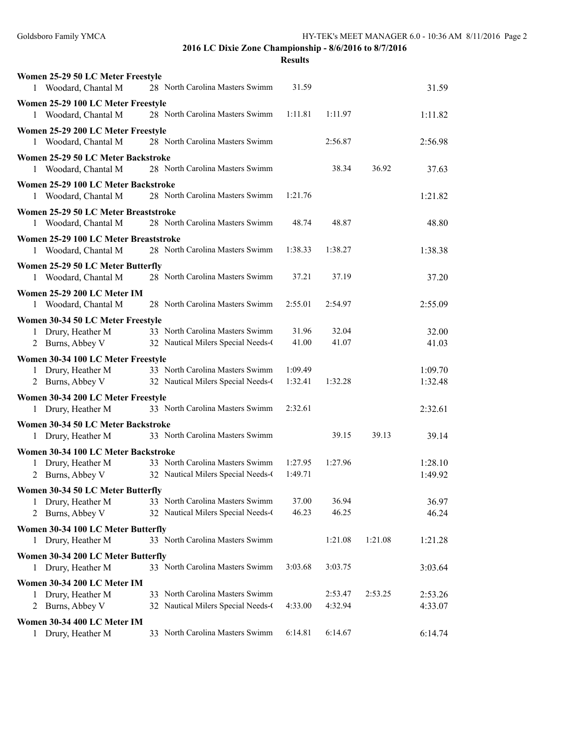| Women 25-29 50 LC Meter Freestyle                           |                                    |         |         |         |         |
|-------------------------------------------------------------|------------------------------------|---------|---------|---------|---------|
| 1 Woodard, Chantal M                                        | 28 North Carolina Masters Swimm    | 31.59   |         |         | 31.59   |
| Women 25-29 100 LC Meter Freestyle                          |                                    |         |         |         |         |
| Woodard, Chantal M<br>1                                     | 28 North Carolina Masters Swimm    | 1:11.81 | 1:11.97 |         | 1:11.82 |
| Women 25-29 200 LC Meter Freestyle                          |                                    |         |         |         |         |
| Woodard, Chantal M<br>1                                     | 28 North Carolina Masters Swimm    |         | 2:56.87 |         | 2:56.98 |
| Women 25-29 50 LC Meter Backstroke                          |                                    |         |         |         |         |
| Woodard, Chantal M<br>1                                     | 28 North Carolina Masters Swimm    |         | 38.34   | 36.92   | 37.63   |
| Women 25-29 100 LC Meter Backstroke                         |                                    |         |         |         |         |
| 1 Woodard, Chantal M                                        | 28 North Carolina Masters Swimm    | 1:21.76 |         |         | 1:21.82 |
| Women 25-29 50 LC Meter Breaststroke                        |                                    |         |         |         |         |
| 1 Woodard, Chantal M                                        | 28 North Carolina Masters Swimm    | 48.74   | 48.87   |         | 48.80   |
| Women 25-29 100 LC Meter Breaststroke                       |                                    |         |         |         |         |
| Woodard, Chantal M<br>1                                     | 28 North Carolina Masters Swimm    | 1:38.33 | 1:38.27 |         | 1:38.38 |
| Women 25-29 50 LC Meter Butterfly                           |                                    |         |         |         |         |
| Woodard, Chantal M<br>1                                     | 28 North Carolina Masters Swimm    | 37.21   | 37.19   |         | 37.20   |
| Women 25-29 200 LC Meter IM                                 |                                    |         |         |         |         |
| Woodard, Chantal M<br>1                                     | 28 North Carolina Masters Swimm    | 2:55.01 | 2:54.97 |         | 2:55.09 |
| Women 30-34 50 LC Meter Freestyle                           |                                    |         |         |         |         |
| 1 Drury, Heather M                                          | 33 North Carolina Masters Swimm    | 31.96   | 32.04   |         | 32.00   |
| 2 Burns, Abbey V                                            | 32 Nautical Milers Special Needs-0 | 41.00   | 41.07   |         | 41.03   |
| Women 30-34 100 LC Meter Freestyle                          |                                    |         |         |         |         |
| 1 Drury, Heather M                                          | 33 North Carolina Masters Swimm    | 1:09.49 |         |         | 1:09.70 |
| 2 Burns, Abbey V                                            | 32 Nautical Milers Special Needs-0 | 1:32.41 | 1:32.28 |         | 1:32.48 |
| Women 30-34 200 LC Meter Freestyle                          |                                    |         |         |         |         |
| 1 Drury, Heather M                                          | 33 North Carolina Masters Swimm    | 2:32.61 |         |         | 2:32.61 |
|                                                             |                                    |         |         |         |         |
| Women 30-34 50 LC Meter Backstroke<br>Drury, Heather M<br>1 | 33 North Carolina Masters Swimm    |         | 39.15   | 39.13   | 39.14   |
|                                                             |                                    |         |         |         |         |
| Women 30-34 100 LC Meter Backstroke<br>1 Drury, Heather M   | 33 North Carolina Masters Swimm    | 1:27.95 | 1:27.96 |         | 1:28.10 |
| Burns, Abbey V<br>2                                         | 32 Nautical Milers Special Needs-0 | 1:49.71 |         |         | 1:49.92 |
|                                                             |                                    |         |         |         |         |
| Women 30-34 50 LC Meter Butterfly<br>Drury, Heather M<br>1  | 33 North Carolina Masters Swimm    | 37.00   | 36.94   |         | 36.97   |
| Burns, Abbey V<br>2                                         | 32 Nautical Milers Special Needs-0 | 46.23   | 46.25   |         | 46.24   |
|                                                             |                                    |         |         |         |         |
| Women 30-34 100 LC Meter Butterfly<br>1 Drury, Heather M    | 33 North Carolina Masters Swimm    |         | 1:21.08 | 1:21.08 | 1:21.28 |
|                                                             |                                    |         |         |         |         |
| Women 30-34 200 LC Meter Butterfly                          |                                    | 3:03.68 |         |         |         |
| Drury, Heather M<br>1                                       | 33 North Carolina Masters Swimm    |         | 3:03.75 |         | 3:03.64 |
| Women 30-34 200 LC Meter IM                                 |                                    |         |         |         |         |
| Drury, Heather M<br>1                                       | 33 North Carolina Masters Swimm    |         | 2:53.47 | 2:53.25 | 2:53.26 |
| Burns, Abbey V<br>2                                         | 32 Nautical Milers Special Needs-0 | 4:33.00 | 4:32.94 |         | 4:33.07 |
| Women 30-34 400 LC Meter IM                                 |                                    |         |         |         |         |
| 1 Drury, Heather M                                          | 33 North Carolina Masters Swimm    | 6:14.81 | 6:14.67 |         | 6:14.74 |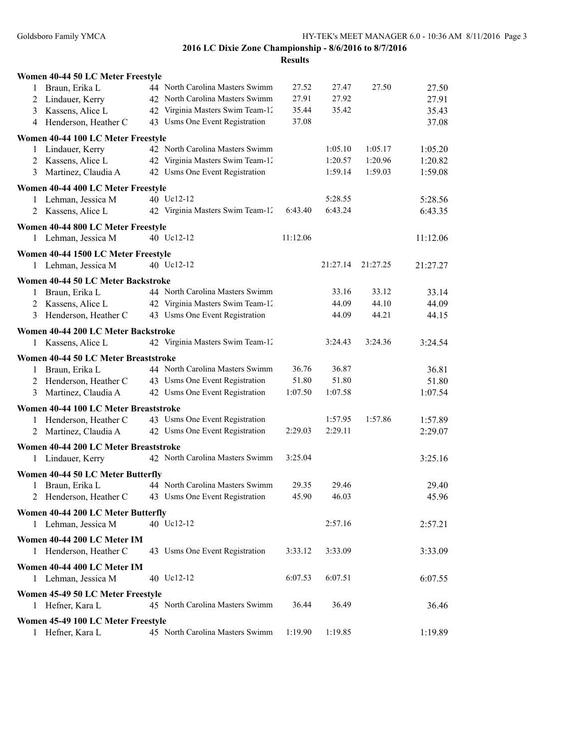| Women 40-44 50 LC Meter Freestyle                         |                                                       |                  |          |          |          |
|-----------------------------------------------------------|-------------------------------------------------------|------------------|----------|----------|----------|
| Braun, Erika L<br>1                                       | 44 North Carolina Masters Swimm                       | 27.52            | 27.47    | 27.50    | 27.50    |
| Lindauer, Kerry<br>2                                      | 42 North Carolina Masters Swimm                       | 27.91            | 27.92    |          | 27.91    |
| Kassens, Alice L<br>3                                     | 42 Virginia Masters Swim Team-12                      | 35.44            | 35.42    |          | 35.43    |
| Henderson, Heather C<br>4                                 | 43 Usms One Event Registration                        | 37.08            |          |          | 37.08    |
| Women 40-44 100 LC Meter Freestyle                        |                                                       |                  |          |          |          |
| 1 Lindauer, Kerry                                         | 42 North Carolina Masters Swimm                       |                  | 1:05.10  | 1:05.17  | 1:05.20  |
| 2 Kassens, Alice L                                        | 42 Virginia Masters Swim Team-12                      |                  | 1:20.57  | 1:20.96  | 1:20.82  |
| 3 Martinez, Claudia A                                     | 42 Usms One Event Registration                        |                  | 1:59.14  | 1:59.03  | 1:59.08  |
| Women 40-44 400 LC Meter Freestyle                        |                                                       |                  |          |          |          |
| 1 Lehman, Jessica M                                       | 40 Uc12-12                                            |                  | 5:28.55  |          | 5:28.56  |
| 2 Kassens, Alice L                                        | 42 Virginia Masters Swim Team-12                      | 6:43.40          | 6:43.24  |          | 6:43.35  |
|                                                           |                                                       |                  |          |          |          |
| Women 40-44 800 LC Meter Freestyle                        |                                                       |                  |          |          |          |
| 1 Lehman, Jessica M                                       | 40 Uc12-12                                            | 11:12.06         |          |          | 11:12.06 |
| Women 40-44 1500 LC Meter Freestyle                       |                                                       |                  |          |          |          |
| 1 Lehman, Jessica M                                       | 40 Uc12-12                                            |                  | 21:27.14 | 21:27.25 | 21:27.27 |
| Women 40-44 50 LC Meter Backstroke                        |                                                       |                  |          |          |          |
| Braun, Erika L<br>1                                       | 44 North Carolina Masters Swimm                       |                  | 33.16    | 33.12    | 33.14    |
| Kassens, Alice L<br>2                                     | 42 Virginia Masters Swim Team-12                      |                  | 44.09    | 44.10    | 44.09    |
| Henderson, Heather C<br>3                                 | 43 Usms One Event Registration                        |                  | 44.09    | 44.21    | 44.15    |
| Women 40-44 200 LC Meter Backstroke                       |                                                       |                  |          |          |          |
| 1 Kassens, Alice L                                        | 42 Virginia Masters Swim Team-12                      |                  | 3:24.43  | 3:24.36  | 3:24.54  |
|                                                           |                                                       |                  |          |          |          |
| Women 40-44 50 LC Meter Breaststroke                      |                                                       |                  |          |          |          |
| Braun, Erika L<br>1                                       | 44 North Carolina Masters Swimm                       | 36.76            | 36.87    |          | 36.81    |
| 2 Henderson, Heather C                                    | 43 Usms One Event Registration                        | 51.80<br>1:07.50 | 51.80    |          | 51.80    |
| Martinez, Claudia A<br>3                                  | 42 Usms One Event Registration                        |                  | 1:07.58  |          | 1:07.54  |
| Women 40-44 100 LC Meter Breaststroke                     |                                                       |                  |          |          |          |
| Henderson, Heather C<br>1                                 | 43 Usms One Event Registration                        |                  | 1:57.95  | 1:57.86  | 1:57.89  |
| Martinez, Claudia A<br>2                                  | 42 Usms One Event Registration                        | 2:29.03          | 2:29.11  |          | 2:29.07  |
| Women 40-44 200 LC Meter Breaststroke                     |                                                       |                  |          |          |          |
| Lindauer, Kerry<br>1                                      | 42 North Carolina Masters Swimm                       | 3:25.04          |          |          | 3:25.16  |
| Women 40-44 50 LC Meter Butterfly                         |                                                       |                  |          |          |          |
| Braun, Erika L<br>1                                       | 44 North Carolina Masters Swimm                       | 29.35            | 29.46    |          | 29.40    |
|                                                           | 2 Henderson, Heather C 43 Usms One Event Registration | 45.90            | 46.03    |          | 45.96    |
|                                                           |                                                       |                  |          |          |          |
| Women 40-44 200 LC Meter Butterfly<br>1 Lehman, Jessica M | 40 Uc12-12                                            |                  | 2:57.16  |          | 2:57.21  |
|                                                           |                                                       |                  |          |          |          |
| Women 40-44 200 LC Meter IM                               |                                                       |                  |          |          |          |
| 1 Henderson, Heather C                                    | 43 Usms One Event Registration                        | 3:33.12          | 3:33.09  |          | 3:33.09  |
| Women 40-44 400 LC Meter IM                               |                                                       |                  |          |          |          |
| 1 Lehman, Jessica M                                       | 40 Uc12-12                                            | 6:07.53          | 6:07.51  |          | 6:07.55  |
| Women 45-49 50 LC Meter Freestyle                         |                                                       |                  |          |          |          |
| 1 Hefner, Kara L                                          | 45 North Carolina Masters Swimm                       | 36.44            | 36.49    |          | 36.46    |
|                                                           |                                                       |                  |          |          |          |
| Women 45-49 100 LC Meter Freestyle                        |                                                       |                  |          |          |          |
| Hefner, Kara L<br>1                                       | 45 North Carolina Masters Swimm                       | 1:19.90          | 1:19.85  |          | 1:19.89  |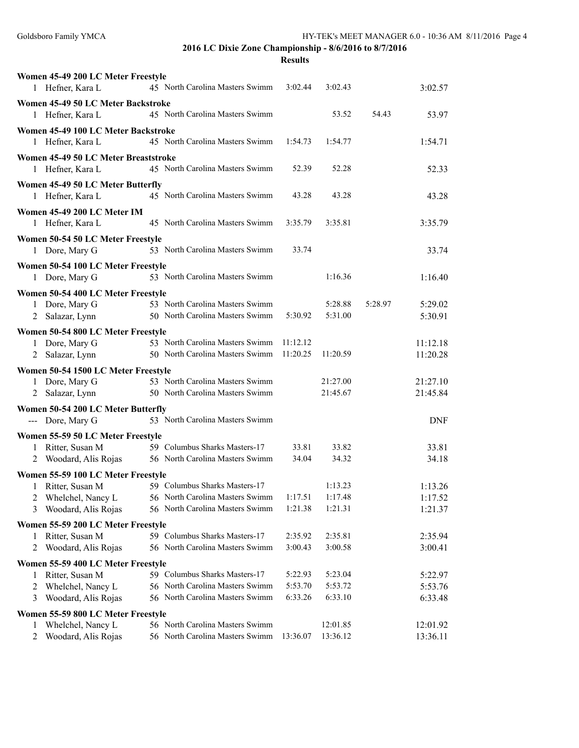|   | Women 45-49 200 LC Meter Freestyle                      |                                         |          |          |         |            |
|---|---------------------------------------------------------|-----------------------------------------|----------|----------|---------|------------|
|   | 1 Hefner, Kara L                                        | 45 North Carolina Masters Swimm         | 3:02.44  | 3:02.43  |         | 3:02.57    |
|   | Women 45-49 50 LC Meter Backstroke                      |                                         |          |          |         |            |
|   | 1 Hefner, Kara L                                        | 45 North Carolina Masters Swimm         |          | 53.52    | 54.43   | 53.97      |
|   | Women 45-49 100 LC Meter Backstroke                     |                                         |          |          |         |            |
|   | 1 Hefner, Kara L                                        | 45 North Carolina Masters Swimm         | 1:54.73  | 1:54.77  |         | 1:54.71    |
|   | Women 45-49 50 LC Meter Breaststroke                    |                                         |          |          |         |            |
|   | 1 Hefner, Kara L                                        | 45 North Carolina Masters Swimm         | 52.39    | 52.28    |         | 52.33      |
|   | Women 45-49 50 LC Meter Butterfly                       |                                         |          |          |         |            |
|   | 1 Hefner, Kara L                                        | 45 North Carolina Masters Swimm         | 43.28    | 43.28    |         | 43.28      |
|   | Women 45-49 200 LC Meter IM                             |                                         |          |          |         |            |
|   | 1 Hefner, Kara L                                        | 45 North Carolina Masters Swimm         | 3:35.79  | 3:35.81  |         | 3:35.79    |
|   |                                                         |                                         |          |          |         |            |
|   | Women 50-54 50 LC Meter Freestyle<br>1 Dore, Mary G     | 53 North Carolina Masters Swimm         | 33.74    |          |         | 33.74      |
|   |                                                         |                                         |          |          |         |            |
|   | Women 50-54 100 LC Meter Freestyle                      |                                         |          |          |         |            |
|   | 1 Dore, Mary G                                          | 53 North Carolina Masters Swimm         |          | 1:16.36  |         | 1:16.40    |
|   | Women 50-54 400 LC Meter Freestyle                      |                                         |          |          |         |            |
|   | 1 Dore, Mary G                                          | 53 North Carolina Masters Swimm         |          | 5:28.88  | 5:28.97 | 5:29.02    |
|   | 2 Salazar, Lynn                                         | 50 North Carolina Masters Swimm         | 5:30.92  | 5:31.00  |         | 5:30.91    |
|   | Women 50-54 800 LC Meter Freestyle                      |                                         |          |          |         |            |
|   | 1 Dore, Mary G                                          | 53 North Carolina Masters Swimm         | 11:12.12 |          |         | 11:12.18   |
|   | 2 Salazar, Lynn                                         | 50 North Carolina Masters Swimm         | 11:20.25 | 11:20.59 |         | 11:20.28   |
|   | Women 50-54 1500 LC Meter Freestyle                     |                                         |          |          |         |            |
|   | 1 Dore, Mary G                                          | 53 North Carolina Masters Swimm         |          | 21:27.00 |         | 21:27.10   |
|   | 2 Salazar, Lynn                                         | 50 North Carolina Masters Swimm         |          | 21:45.67 |         | 21:45.84   |
|   | Women 50-54 200 LC Meter Butterfly                      |                                         |          |          |         |            |
|   | --- Dore, Mary G                                        | 53 North Carolina Masters Swimm         |          |          |         | <b>DNF</b> |
|   | Women 55-59 50 LC Meter Freestyle                       |                                         |          |          |         |            |
| 1 | Ritter, Susan M                                         | 59 Columbus Sharks Masters-17           | 33.81    | 33.82    |         | 33.81      |
|   | Woodard, Alis Rojas                                     | 56 North Carolina Masters Swimm         | 34.04    | 34.32    |         | 34.18      |
|   | Women 55-59 100 LC Meter Freestyle                      |                                         |          |          |         |            |
| 1 | Ritter, Susan M                                         | 59 Columbus Sharks Masters-17           |          | 1:13.23  |         | 1:13.26    |
|   | 2 Whelchel, Nancy L                                     | 56 North Carolina Masters Swimm 1:17.51 |          | 1:17.48  |         | 1:17.52    |
| 3 | Woodard, Alis Rojas                                     | 56 North Carolina Masters Swimm         | 1:21.38  | 1:21.31  |         | 1:21.37    |
|   | Women 55-59 200 LC Meter Freestyle                      |                                         |          |          |         |            |
| 1 | Ritter, Susan M                                         | 59 Columbus Sharks Masters-17           | 2:35.92  | 2:35.81  |         | 2:35.94    |
| 2 | Woodard, Alis Rojas                                     | 56 North Carolina Masters Swimm         | 3:00.43  | 3:00.58  |         | 3:00.41    |
|   | Women 55-59 400 LC Meter Freestyle                      |                                         |          |          |         |            |
| 1 | Ritter, Susan M                                         | 59 Columbus Sharks Masters-17           | 5:22.93  | 5:23.04  |         | 5:22.97    |
| 2 | Whelchel, Nancy L                                       | 56 North Carolina Masters Swimm         | 5:53.70  | 5:53.72  |         | 5:53.76    |
| 3 | Woodard, Alis Rojas                                     | 56 North Carolina Masters Swimm         | 6:33.26  | 6:33.10  |         | 6:33.48    |
|   |                                                         |                                         |          |          |         |            |
| 1 | Women 55-59 800 LC Meter Freestyle<br>Whelchel, Nancy L | 56 North Carolina Masters Swimm         |          | 12:01.85 |         | 12:01.92   |
| 2 | Woodard, Alis Rojas                                     | 56 North Carolina Masters Swimm         | 13:36.07 | 13:36.12 |         | 13:36.11   |
|   |                                                         |                                         |          |          |         |            |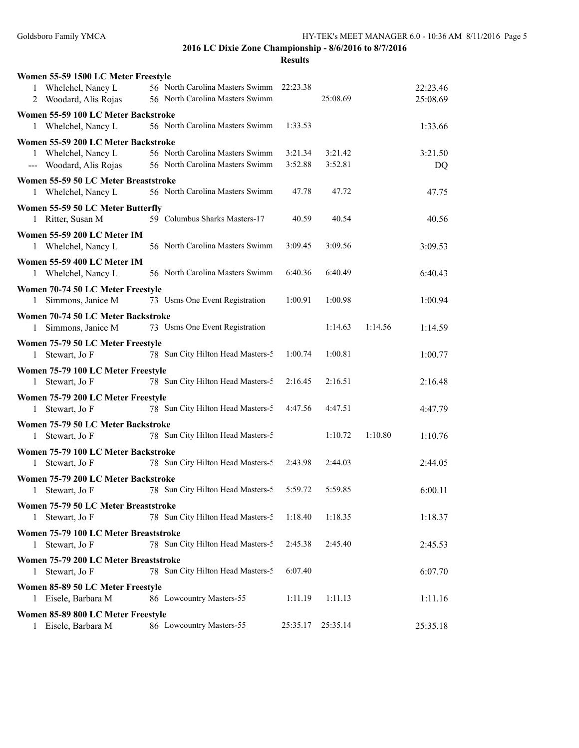| Women 55-59 1500 LC Meter Freestyle                                     |                                   |          |          |         |          |
|-------------------------------------------------------------------------|-----------------------------------|----------|----------|---------|----------|
| 1 Whelchel, Nancy L                                                     | 56 North Carolina Masters Swimm   | 22:23.38 |          |         | 22:23.46 |
| 2 Woodard, Alis Rojas                                                   | 56 North Carolina Masters Swimm   |          | 25:08.69 |         | 25:08.69 |
| Women 55-59 100 LC Meter Backstroke                                     |                                   |          |          |         |          |
| Whelchel, Nancy L<br>1                                                  | 56 North Carolina Masters Swimm   | 1:33.53  |          |         | 1:33.66  |
| Women 55-59 200 LC Meter Backstroke                                     |                                   |          |          |         |          |
| 1 Whelchel, Nancy L                                                     | 56 North Carolina Masters Swimm   | 3:21.34  | 3:21.42  |         | 3:21.50  |
| --- Woodard, Alis Rojas                                                 | 56 North Carolina Masters Swimm   | 3:52.88  | 3:52.81  |         | DQ       |
| Women 55-59 50 LC Meter Breaststroke                                    |                                   |          |          |         |          |
| 1 Whelchel, Nancy L                                                     | 56 North Carolina Masters Swimm   | 47.78    | 47.72    |         | 47.75    |
| Women 55-59 50 LC Meter Butterfly                                       |                                   |          |          |         |          |
| 1 Ritter, Susan M                                                       | 59 Columbus Sharks Masters-17     | 40.59    | 40.54    |         | 40.56    |
| Women 55-59 200 LC Meter IM                                             |                                   |          |          |         |          |
| 1 Whelchel, Nancy L                                                     | 56 North Carolina Masters Swimm   | 3:09.45  | 3:09.56  |         | 3:09.53  |
| Women 55-59 400 LC Meter IM                                             |                                   |          |          |         |          |
| 1 Whelchel, Nancy L                                                     | 56 North Carolina Masters Swimm   | 6:40.36  | 6:40.49  |         | 6:40.43  |
| Women 70-74 50 LC Meter Freestyle                                       |                                   |          |          |         |          |
| Simmons, Janice M<br>1                                                  | 73 Usms One Event Registration    | 1:00.91  | 1:00.98  |         | 1:00.94  |
|                                                                         |                                   |          |          |         |          |
| Women 70-74 50 LC Meter Backstroke<br>Simmons, Janice M<br>$\mathbf{1}$ | 73 Usms One Event Registration    |          | 1:14.63  | 1:14.56 | 1:14.59  |
|                                                                         |                                   |          |          |         |          |
| Women 75-79 50 LC Meter Freestyle<br>1 Stewart, Jo F                    | 78 Sun City Hilton Head Masters-5 | 1:00.74  | 1:00.81  |         | 1:00.77  |
|                                                                         |                                   |          |          |         |          |
| Women 75-79 100 LC Meter Freestyle<br>1 Stewart, Jo F                   | 78 Sun City Hilton Head Masters-5 | 2:16.45  | 2:16.51  |         | 2:16.48  |
|                                                                         |                                   |          |          |         |          |
| Women 75-79 200 LC Meter Freestyle                                      |                                   | 4:47.56  |          |         |          |
| Stewart, Jo F<br>1                                                      | 78 Sun City Hilton Head Masters-5 |          | 4:47.51  |         | 4:47.79  |
| Women 75-79 50 LC Meter Backstroke                                      |                                   |          |          |         |          |
| Stewart, Jo F<br>1                                                      | 78 Sun City Hilton Head Masters-5 |          | 1:10.72  | 1:10.80 | 1:10.76  |
| Women 75-79 100 LC Meter Backstroke                                     |                                   |          |          |         |          |
| Stewart, Jo F<br>$\mathbf{1}$                                           | 78 Sun City Hilton Head Masters-5 | 2:43.98  | 2:44.03  |         | 2:44.05  |
| Women 75-79 200 LC Meter Backstroke                                     |                                   |          |          |         |          |
| 1 Stewart, Jo F                                                         | 78 Sun City Hilton Head Masters-5 | 5:59.72  | 5:59.85  |         | 6:00.11  |
| Women 75-79 50 LC Meter Breaststroke                                    |                                   |          |          |         |          |
| 1 Stewart, Jo F                                                         | 78 Sun City Hilton Head Masters-5 | 1:18.40  | 1:18.35  |         | 1:18.37  |
| Women 75-79 100 LC Meter Breaststroke                                   |                                   |          |          |         |          |
| Stewart, Jo F<br>$\mathbf{1}$                                           | 78 Sun City Hilton Head Masters-5 | 2:45.38  | 2:45.40  |         | 2:45.53  |
| Women 75-79 200 LC Meter Breaststroke                                   |                                   |          |          |         |          |
| 1 Stewart, Jo F                                                         | 78 Sun City Hilton Head Masters-5 | 6:07.40  |          |         | 6:07.70  |
| Women 85-89 50 LC Meter Freestyle                                       |                                   |          |          |         |          |
| 1 Eisele, Barbara M                                                     | 86 Lowcountry Masters-55          | 1:11.19  | 1:11.13  |         | 1:11.16  |
| Women 85-89 800 LC Meter Freestyle                                      |                                   |          |          |         |          |
| 1 Eisele, Barbara M                                                     | 86 Lowcountry Masters-55          | 25:35.17 | 25:35.14 |         | 25:35.18 |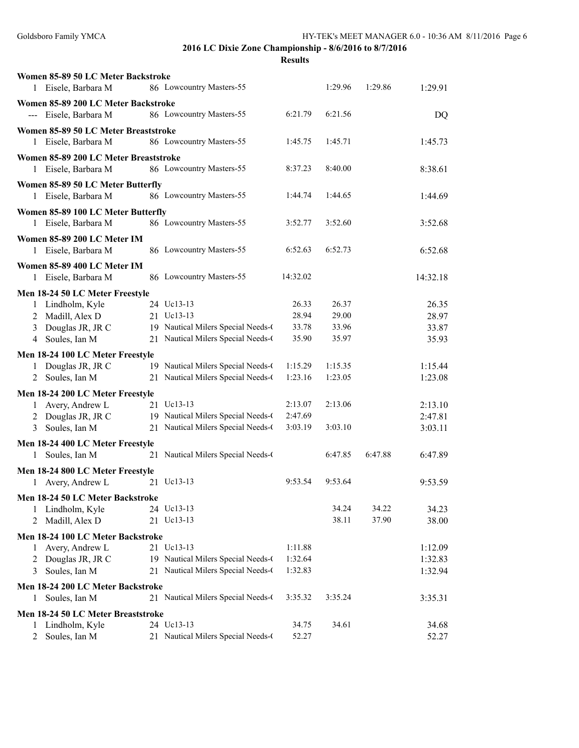| Women 85-89 50 LC Meter Backstroke                              |                                    |                |         |         |                |
|-----------------------------------------------------------------|------------------------------------|----------------|---------|---------|----------------|
| 1 Eisele, Barbara M                                             | 86 Lowcountry Masters-55           |                | 1:29.96 | 1:29.86 | 1:29.91        |
| Women 85-89 200 LC Meter Backstroke                             |                                    |                |         |         |                |
| --- Eisele, Barbara M                                           | 86 Lowcountry Masters-55           | 6:21.79        | 6:21.56 |         | DQ             |
| Women 85-89 50 LC Meter Breaststroke                            |                                    |                |         |         |                |
| Eisele, Barbara M<br>1                                          | 86 Lowcountry Masters-55           | 1:45.75        | 1:45.71 |         | 1:45.73        |
|                                                                 |                                    |                |         |         |                |
| Women 85-89 200 LC Meter Breaststroke<br>Eisele, Barbara M<br>1 | 86 Lowcountry Masters-55           | 8:37.23        | 8:40.00 |         | 8:38.61        |
|                                                                 |                                    |                |         |         |                |
| Women 85-89 50 LC Meter Butterfly                               |                                    |                |         |         |                |
| 1 Eisele, Barbara M                                             | 86 Lowcountry Masters-55           | 1:44.74        | 1:44.65 |         | 1:44.69        |
| Women 85-89 100 LC Meter Butterfly                              |                                    |                |         |         |                |
| 1 Eisele, Barbara M                                             | 86 Lowcountry Masters-55           | 3:52.77        | 3:52.60 |         | 3:52.68        |
| Women 85-89 200 LC Meter IM                                     |                                    |                |         |         |                |
| 1 Eisele, Barbara M                                             | 86 Lowcountry Masters-55           | 6:52.63        | 6:52.73 |         | 6:52.68        |
| Women 85-89 400 LC Meter IM                                     |                                    |                |         |         |                |
| Eisele, Barbara M<br>1                                          | 86 Lowcountry Masters-55           | 14:32.02       |         |         | 14:32.18       |
| Men 18-24 50 LC Meter Freestyle                                 |                                    |                |         |         |                |
| Lindholm, Kyle<br>1                                             | 24 Uc13-13                         | 26.33          | 26.37   |         | 26.35          |
| Madill, Alex D<br>2                                             | 21 Uc13-13                         | 28.94          | 29.00   |         | 28.97          |
| Douglas JR, JR C<br>3                                           | 19 Nautical Milers Special Needs-0 | 33.78          | 33.96   |         | 33.87          |
| Soules, Ian M<br>4                                              | 21 Nautical Milers Special Needs-0 | 35.90          | 35.97   |         | 35.93          |
|                                                                 |                                    |                |         |         |                |
| Men 18-24 100 LC Meter Freestyle                                | 19 Nautical Milers Special Needs-0 | 1:15.29        | 1:15.35 |         | 1:15.44        |
| 1 Douglas JR, JR C<br>2 Soules, Ian M                           | 21 Nautical Milers Special Needs-0 | 1:23.16        | 1:23.05 |         | 1:23.08        |
|                                                                 |                                    |                |         |         |                |
| Men 18-24 200 LC Meter Freestyle                                |                                    |                |         |         |                |
| Avery, Andrew L<br>1                                            | 21 Uc13-13                         | 2:13.07        | 2:13.06 |         | 2:13.10        |
| Douglas JR, JR C<br>2                                           | 19 Nautical Milers Special Needs-0 | 2:47.69        |         |         | 2:47.81        |
| Soules, Ian M<br>3                                              | 21 Nautical Milers Special Needs-0 | 3:03.19        | 3:03.10 |         | 3:03.11        |
| Men 18-24 400 LC Meter Freestyle                                |                                    |                |         |         |                |
| Soules, Ian M<br>$\mathbf{1}$                                   | 21 Nautical Milers Special Needs-0 |                | 6:47.85 | 6:47.88 | 6:47.89        |
| Men 18-24 800 LC Meter Freestyle                                |                                    |                |         |         |                |
| 1 Avery, Andrew L                                               | 21 Uc13-13                         | 9:53.54        | 9:53.64 |         | 9:53.59        |
| Men 18-24 50 LC Meter Backstroke                                |                                    |                |         |         |                |
| Lindholm, Kyle<br>1                                             | 24 Uc13-13                         |                | 34.24   | 34.22   | 34.23          |
| Madill, Alex D<br>2                                             | 21 Uc13-13                         |                | 38.11   | 37.90   | 38.00          |
| Men 18-24 100 LC Meter Backstroke                               |                                    |                |         |         |                |
| Avery, Andrew L<br>1                                            | 21 Uc13-13                         | 1:11.88        |         |         | 1:12.09        |
| Douglas JR, JR C<br>2                                           | 19 Nautical Milers Special Needs-0 | 1:32.64        |         |         | 1:32.83        |
| Soules, Ian M<br>3                                              | 21 Nautical Milers Special Needs-0 | 1:32.83        |         |         | 1:32.94        |
| Men 18-24 200 LC Meter Backstroke                               |                                    |                |         |         |                |
| Soules, Ian M<br>$\mathbf{1}$                                   | 21 Nautical Milers Special Needs-0 | 3:35.32        | 3:35.24 |         | 3:35.31        |
|                                                                 |                                    |                |         |         |                |
| Men 18-24 50 LC Meter Breaststroke                              | 24 Uc13-13                         |                |         |         |                |
| Lindholm, Kyle<br>1<br>Soules, Ian M<br>$\overline{2}$          | 21 Nautical Milers Special Needs-0 | 34.75<br>52.27 | 34.61   |         | 34.68<br>52.27 |
|                                                                 |                                    |                |         |         |                |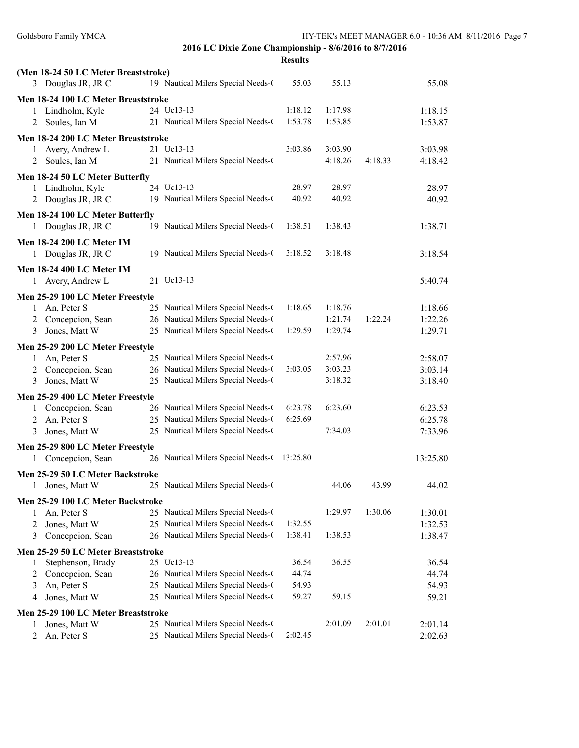|                                        | 2016 LC Dixie Zone Championship - 8/6/2016 to 8/7/2016                   |                |         |         | 111-112 9 MILLI MIANAQLA 0.0 - 10.907 MM 0/11/2 |  |
|----------------------------------------|--------------------------------------------------------------------------|----------------|---------|---------|-------------------------------------------------|--|
|                                        |                                                                          | <b>Results</b> |         |         |                                                 |  |
| (Men 18-24 50 LC Meter Breaststroke)   |                                                                          |                |         |         |                                                 |  |
| 3 Douglas JR, JR C                     | 19 Nautical Milers Special Needs-0                                       | 55.03          | 55.13   |         | 55.08                                           |  |
| Men 18-24 100 LC Meter Breaststroke    |                                                                          |                |         |         |                                                 |  |
| 1 Lindholm, Kyle                       | 24 Uc13-13                                                               | 1:18.12        | 1:17.98 |         | 1:18.15                                         |  |
| 2 Soules, Ian M                        | 21 Nautical Milers Special Needs-0                                       | 1:53.78        | 1:53.85 |         | 1:53.87                                         |  |
| Men 18-24 200 LC Meter Breaststroke    |                                                                          |                |         |         |                                                 |  |
| 1 Avery, Andrew L                      | 21 Uc13-13                                                               | 3:03.86        | 3:03.90 |         | 3:03.98                                         |  |
| 2 Soules, Ian M                        | 21 Nautical Milers Special Needs-0                                       |                | 4:18.26 | 4:18.33 | 4:18.42                                         |  |
|                                        |                                                                          |                |         |         |                                                 |  |
| Men 18-24 50 LC Meter Butterfly        | 24 Uc13-13                                                               | 28.97          | 28.97   |         | 28.97                                           |  |
| 1 Lindholm, Kyle<br>2 Douglas JR, JR C | 19 Nautical Milers Special Needs-0                                       | 40.92          | 40.92   |         | 40.92                                           |  |
|                                        |                                                                          |                |         |         |                                                 |  |
| Men 18-24 100 LC Meter Butterfly       |                                                                          |                |         |         |                                                 |  |
| 1 Douglas JR, JR C                     | 19 Nautical Milers Special Needs-0                                       | 1:38.51        | 1:38.43 |         | 1:38.71                                         |  |
| <b>Men 18-24 200 LC Meter IM</b>       |                                                                          |                |         |         |                                                 |  |
| 1 Douglas JR, JR C                     | 19 Nautical Milers Special Needs-0                                       | 3:18.52        | 3:18.48 |         | 3:18.54                                         |  |
| <b>Men 18-24 400 LC Meter IM</b>       |                                                                          |                |         |         |                                                 |  |
| 1 Avery, Andrew L                      | 21 Uc13-13                                                               |                |         |         | 5:40.74                                         |  |
| Men 25-29 100 LC Meter Freestyle       |                                                                          |                |         |         |                                                 |  |
| 1 An, Peter S                          | 25 Nautical Milers Special Needs-0                                       | 1:18.65        | 1:18.76 |         | 1:18.66                                         |  |
| 2 Concepcion, Sean                     | 26 Nautical Milers Special Needs-0                                       |                | 1:21.74 | 1:22.24 | 1:22.26                                         |  |
| Jones, Matt W<br>3                     | 25 Nautical Milers Special Needs-0                                       | 1:29.59        | 1:29.74 |         | 1:29.71                                         |  |
|                                        |                                                                          |                |         |         |                                                 |  |
| Men 25-29 200 LC Meter Freestyle       |                                                                          |                | 2:57.96 |         |                                                 |  |
| 1 An, Peter S<br>2 Concepcion, Sean    | 25 Nautical Milers Special Needs-0<br>26 Nautical Milers Special Needs-0 | 3:03.05        | 3:03.23 |         | 2:58.07<br>3:03.14                              |  |
| Jones, Matt W<br>3                     | 25 Nautical Milers Special Needs-0                                       |                | 3:18.32 |         | 3:18.40                                         |  |
|                                        |                                                                          |                |         |         |                                                 |  |
| Men 25-29 400 LC Meter Freestyle       |                                                                          |                |         |         |                                                 |  |
| 1 Concepcion, Sean                     | 26 Nautical Milers Special Needs-0                                       | 6:23.78        | 6:23.60 |         | 6:23.53                                         |  |
| 2 An, Peter S                          | 25 Nautical Milers Special Needs-0                                       | 6:25.69        |         |         | 6:25.78                                         |  |
| Jones, Matt W<br>3                     | 25 Nautical Milers Special Needs-0                                       |                | 7:34.03 |         | 7:33.96                                         |  |
| Men 25-29 800 LC Meter Freestyle       |                                                                          |                |         |         |                                                 |  |
| Concepcion, Sean                       | 26 Nautical Milers Special Needs-0                                       | 13:25.80       |         |         | 13:25.80                                        |  |
| Men 25-29 50 LC Meter Backstroke       |                                                                          |                |         |         |                                                 |  |
| Jones, Matt W<br>1                     | 25 Nautical Milers Special Needs-0                                       |                | 44.06   | 43.99   | 44.02                                           |  |
| Men 25-29 100 LC Meter Backstroke      |                                                                          |                |         |         |                                                 |  |
| An, Peter S<br>1                       | 25 Nautical Milers Special Needs-0                                       |                | 1:29.97 | 1:30.06 | 1:30.01                                         |  |
| Jones, Matt W<br>2                     | 25 Nautical Milers Special Needs-0                                       | 1:32.55        |         |         | 1:32.53                                         |  |
| Concepcion, Sean<br>3                  | 26 Nautical Milers Special Needs-0                                       | 1:38.41        | 1:38.53 |         | 1:38.47                                         |  |
| Men 25-29 50 LC Meter Breaststroke     |                                                                          |                |         |         |                                                 |  |
| Stephenson, Brady<br>1                 | 25 Uc13-13                                                               | 36.54          | 36.55   |         | 36.54                                           |  |
| Concepcion, Sean<br>2                  | 26 Nautical Milers Special Needs-0                                       | 44.74          |         |         | 44.74                                           |  |
| An, Peter S<br>3                       | 25 Nautical Milers Special Needs-0                                       | 54.93          |         |         | 54.93                                           |  |
| Jones, Matt W<br>4                     | 25 Nautical Milers Special Needs-0                                       | 59.27          | 59.15   |         | 59.21                                           |  |
|                                        |                                                                          |                |         |         |                                                 |  |
| Men 25-29 100 LC Meter Breaststroke    |                                                                          |                |         |         |                                                 |  |
| Jones, Matt W<br>1                     | 25 Nautical Milers Special Needs-0                                       |                | 2:01.09 | 2:01.01 | 2:01.14                                         |  |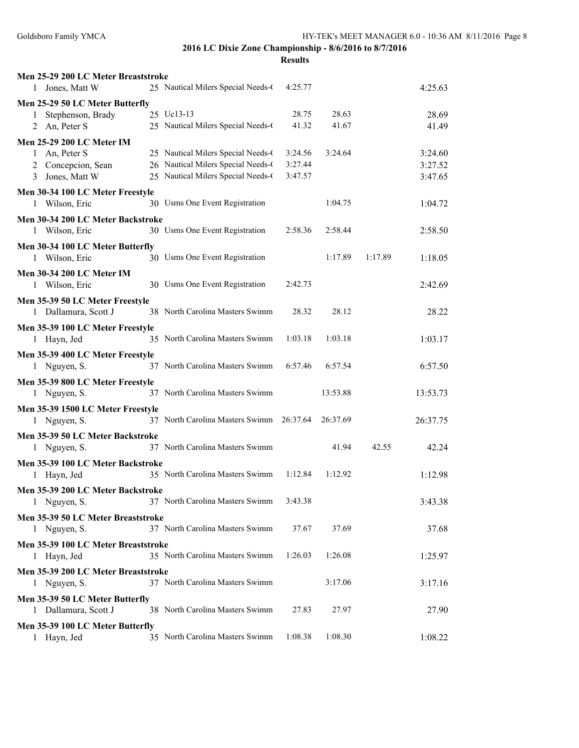| Men 25-29 200 LC Meter Breaststroke              |                                          |         |          |         |          |
|--------------------------------------------------|------------------------------------------|---------|----------|---------|----------|
| 1 Jones, Matt W                                  | 25 Nautical Milers Special Needs-0       | 4:25.77 |          |         | 4:25.63  |
| Men 25-29 50 LC Meter Butterfly                  |                                          |         |          |         |          |
| Stephenson, Brady<br>1                           | 25 Uc13-13                               | 28.75   | 28.63    |         | 28.69    |
| 2 An, Peter S                                    | 25 Nautical Milers Special Needs-0       | 41.32   | 41.67    |         | 41.49    |
| Men 25-29 200 LC Meter IM                        |                                          |         |          |         |          |
| An, Peter S<br>$\mathbf{1}$                      | 25 Nautical Milers Special Needs-0       | 3:24.56 | 3:24.64  |         | 3:24.60  |
| 2 Concepcion, Sean                               | 26 Nautical Milers Special Needs-0       | 3:27.44 |          |         | 3:27.52  |
| 3 Jones, Matt W                                  | 25 Nautical Milers Special Needs-0       | 3:47.57 |          |         | 3:47.65  |
| Men 30-34 100 LC Meter Freestyle                 |                                          |         |          |         |          |
| 1 Wilson, Eric                                   | 30 Usms One Event Registration           |         | 1:04.75  |         | 1:04.72  |
| Men 30-34 200 LC Meter Backstroke                |                                          |         |          |         |          |
| 1 Wilson, Eric                                   | 30 Usms One Event Registration           | 2:58.36 | 2:58.44  |         | 2:58.50  |
| Men 30-34 100 LC Meter Butterfly                 |                                          |         |          |         |          |
| 1 Wilson, Eric                                   | 30 Usms One Event Registration           |         | 1:17.89  | 1:17.89 | 1:18.05  |
| Men 30-34 200 LC Meter IM                        |                                          |         |          |         |          |
| 1 Wilson, Eric                                   | 30 Usms One Event Registration           | 2:42.73 |          |         | 2:42.69  |
| Men 35-39 50 LC Meter Freestyle                  |                                          |         |          |         |          |
| 1 Dallamura, Scott J                             | 38 North Carolina Masters Swimm          | 28.32   | 28.12    |         | 28.22    |
| Men 35-39 100 LC Meter Freestyle                 |                                          |         |          |         |          |
| 1 Hayn, Jed                                      | 35 North Carolina Masters Swimm          | 1:03.18 | 1:03.18  |         | 1:03.17  |
| Men 35-39 400 LC Meter Freestyle                 |                                          |         |          |         |          |
| 1 Nguyen, S.                                     | 37 North Carolina Masters Swimm          | 6:57.46 | 6:57.54  |         | 6:57.50  |
| Men 35-39 800 LC Meter Freestyle                 |                                          |         |          |         |          |
| 1 Nguyen, S.                                     | 37 North Carolina Masters Swimm          |         | 13:53.88 |         | 13:53.73 |
| Men 35-39 1500 LC Meter Freestyle                |                                          |         |          |         |          |
| 1 Nguyen, S.                                     | 37 North Carolina Masters Swimm 26:37.64 |         | 26:37.69 |         | 26:37.75 |
|                                                  |                                          |         |          |         |          |
| Men 35-39 50 LC Meter Backstroke<br>1 Nguyen, S. | 37 North Carolina Masters Swimm          |         | 41.94    | 42.55   | 42.24    |
|                                                  |                                          |         |          |         |          |
| Men 35-39 100 LC Meter Backstroke                | 35 North Carolina Masters Swimm          | 1:12.84 | 1:12.92  |         |          |
| 1 Hayn, Jed                                      |                                          |         |          |         | 1:12.98  |
| Men 35-39 200 LC Meter Backstroke                |                                          |         |          |         |          |
| 1 Nguyen, S.                                     | 37 North Carolina Masters Swimm          | 3:43.38 |          |         | 3:43.38  |
| Men 35-39 50 LC Meter Breaststroke               |                                          |         |          |         |          |
| 1 Nguyen, S.                                     | 37 North Carolina Masters Swimm          | 37.67   | 37.69    |         | 37.68    |
| Men 35-39 100 LC Meter Breaststroke              |                                          |         |          |         |          |
| 1 Hayn, Jed                                      | 35 North Carolina Masters Swimm          | 1:26.03 | 1:26.08  |         | 1:25.97  |
| Men 35-39 200 LC Meter Breaststroke              |                                          |         |          |         |          |
| 1 Nguyen, S.                                     | 37 North Carolina Masters Swimm          |         | 3:17.06  |         | 3:17.16  |
| Men 35-39 50 LC Meter Butterfly                  |                                          |         |          |         |          |
| 1 Dallamura, Scott J                             | 38 North Carolina Masters Swimm          | 27.83   | 27.97    |         | 27.90    |
| Men 35-39 100 LC Meter Butterfly                 |                                          |         |          |         |          |
| 1 Hayn, Jed                                      | 35 North Carolina Masters Swimm          | 1:08.38 | 1:08.30  |         | 1:08.22  |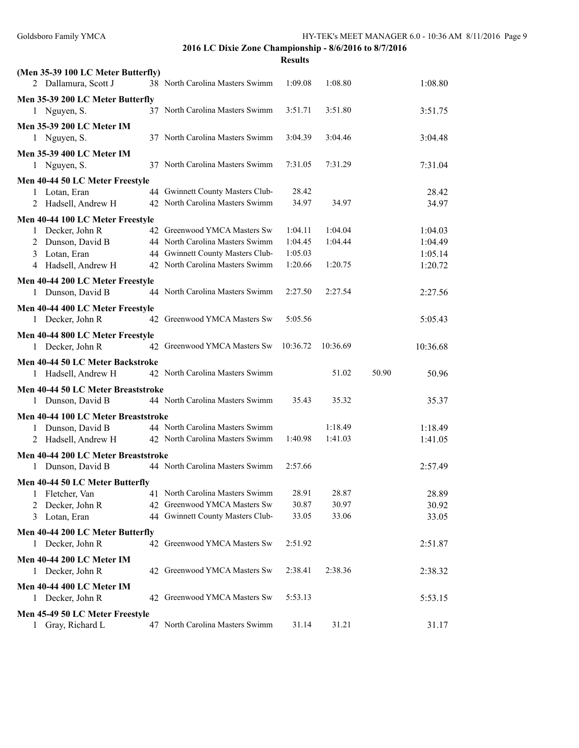| (Men 35-39 100 LC Meter Butterfly)                      |                                  |          |          |       |          |
|---------------------------------------------------------|----------------------------------|----------|----------|-------|----------|
| 2 Dallamura, Scott J                                    | 38 North Carolina Masters Swimm  | 1:09.08  | 1:08.80  |       | 1:08.80  |
| Men 35-39 200 LC Meter Butterfly                        |                                  |          |          |       |          |
| 1 Nguyen, S.                                            | 37 North Carolina Masters Swimm  | 3:51.71  | 3:51.80  |       | 3:51.75  |
| <b>Men 35-39 200 LC Meter IM</b>                        |                                  |          |          |       |          |
| 1 Nguyen, S.                                            | 37 North Carolina Masters Swimm  | 3:04.39  | 3:04.46  |       | 3:04.48  |
| Men 35-39 400 LC Meter IM                               |                                  |          |          |       |          |
| 1 Nguyen, S.                                            | 37 North Carolina Masters Swimm  | 7:31.05  | 7:31.29  |       | 7:31.04  |
| Men 40-44 50 LC Meter Freestyle                         |                                  |          |          |       |          |
| 1 Lotan, Eran                                           | 44 Gwinnett County Masters Club- | 28.42    |          |       | 28.42    |
| 2 Hadsell, Andrew H                                     | 42 North Carolina Masters Swimm  | 34.97    | 34.97    |       | 34.97    |
| Men 40-44 100 LC Meter Freestyle                        |                                  |          |          |       |          |
| 1 Decker, John R                                        | 42 Greenwood YMCA Masters Sw     | 1:04.11  | 1:04.04  |       | 1:04.03  |
| 2 Dunson, David B                                       | 44 North Carolina Masters Swimm  | 1:04.45  | 1:04.44  |       | 1:04.49  |
| 3 Lotan, Eran                                           | 44 Gwinnett County Masters Club- | 1:05.03  |          |       | 1:05.14  |
| 4 Hadsell, Andrew H                                     | 42 North Carolina Masters Swimm  | 1:20.66  | 1:20.75  |       | 1:20.72  |
| Men 40-44 200 LC Meter Freestyle                        |                                  |          |          |       |          |
| 1 Dunson, David B                                       | 44 North Carolina Masters Swimm  | 2:27.50  | 2:27.54  |       | 2:27.56  |
| Men 40-44 400 LC Meter Freestyle                        |                                  |          |          |       |          |
| 1 Decker, John R                                        | 42 Greenwood YMCA Masters Sw     | 5:05.56  |          |       | 5:05.43  |
| Men 40-44 800 LC Meter Freestyle                        |                                  |          |          |       |          |
| 1 Decker, John R                                        | 42 Greenwood YMCA Masters Sw     | 10:36.72 | 10:36.69 |       | 10:36.68 |
|                                                         |                                  |          |          |       |          |
| Men 40-44 50 LC Meter Backstroke<br>1 Hadsell, Andrew H | 42 North Carolina Masters Swimm  |          | 51.02    | 50.90 | 50.96    |
|                                                         |                                  |          |          |       |          |
| Men 40-44 50 LC Meter Breaststroke                      |                                  |          |          |       |          |
| 1 Dunson, David B                                       | 44 North Carolina Masters Swimm  | 35.43    | 35.32    |       | 35.37    |
| Men 40-44 100 LC Meter Breaststroke                     |                                  |          |          |       |          |
| 1 Dunson, David B                                       | 44 North Carolina Masters Swimm  |          | 1:18.49  |       | 1:18.49  |
| 2 Hadsell, Andrew H                                     | 42 North Carolina Masters Swimm  | 1:40.98  | 1:41.03  |       | 1:41.05  |
| Men 40-44 200 LC Meter Breaststroke                     |                                  |          |          |       |          |
| 1 Dunson, David B                                       | 44 North Carolina Masters Swimm  | 2:57.66  |          |       | 2:57.49  |
| Men 40-44 50 LC Meter Butterfly                         |                                  |          |          |       |          |
| Fletcher, Van<br>1                                      | 41 North Carolina Masters Swimm  | 28.91    | 28.87    |       | 28.89    |
| Decker, John R<br>2                                     | 42 Greenwood YMCA Masters Sw     | 30.87    | 30.97    |       | 30.92    |
| Lotan, Eran<br>3                                        | 44 Gwinnett County Masters Club- | 33.05    | 33.06    |       | 33.05    |
| Men 40-44 200 LC Meter Butterfly                        |                                  |          |          |       |          |
| 1 Decker, John R                                        | 42 Greenwood YMCA Masters Sw     | 2:51.92  |          |       | 2:51.87  |
| Men 40-44 200 LC Meter IM                               |                                  |          |          |       |          |
| 1 Decker, John R                                        | 42 Greenwood YMCA Masters Sw     | 2:38.41  | 2:38.36  |       | 2:38.32  |
| <b>Men 40-44 400 LC Meter IM</b>                        |                                  |          |          |       |          |
| 1 Decker, John R                                        | 42 Greenwood YMCA Masters Sw     | 5:53.13  |          |       | 5:53.15  |
| Men 45-49 50 LC Meter Freestyle                         |                                  |          |          |       |          |
| 1 Gray, Richard L                                       | 47 North Carolina Masters Swimm  | 31.14    | 31.21    |       | 31.17    |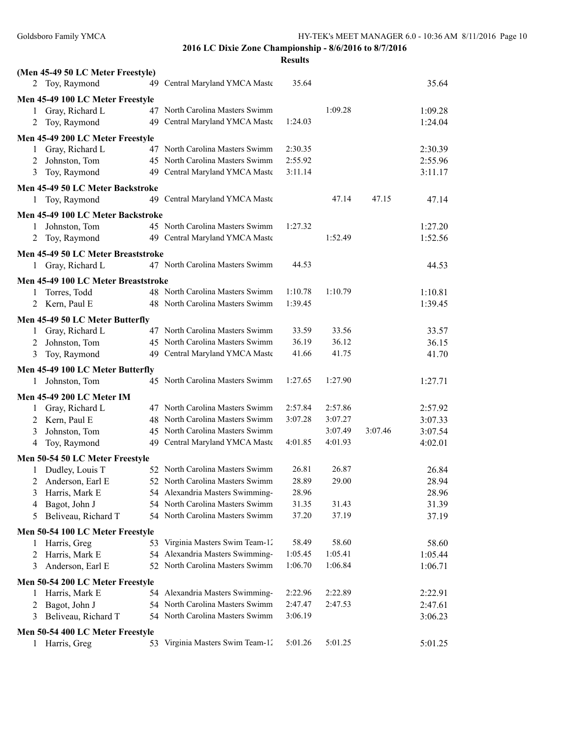|              | (Men 45-49 50 LC Meter Freestyle)   |                                                                    |         |                    |         |         |
|--------------|-------------------------------------|--------------------------------------------------------------------|---------|--------------------|---------|---------|
|              | 2 Toy, Raymond                      | 49 Central Maryland YMCA Maste                                     | 35.64   |                    |         | 35.64   |
|              | Men 45-49 100 LC Meter Freestyle    |                                                                    |         |                    |         |         |
| 1            | Gray, Richard L                     | 47 North Carolina Masters Swimm                                    |         | 1:09.28            |         | 1:09.28 |
| 2            | Toy, Raymond                        | 49 Central Maryland YMCA Maste                                     | 1:24.03 |                    |         | 1:24.04 |
|              |                                     |                                                                    |         |                    |         |         |
|              | Men 45-49 200 LC Meter Freestyle    |                                                                    |         |                    |         |         |
| 1            | Gray, Richard L                     | 47 North Carolina Masters Swimm                                    | 2:30.35 |                    |         | 2:30.39 |
| 2            | Johnston, Tom                       | 45 North Carolina Masters Swimm                                    | 2:55.92 |                    |         | 2:55.96 |
| 3            | Toy, Raymond                        | 49 Central Maryland YMCA Maste                                     | 3:11.14 |                    |         | 3:11.17 |
|              | Men 45-49 50 LC Meter Backstroke    |                                                                    |         |                    |         |         |
| 1            | Toy, Raymond                        | 49 Central Maryland YMCA Maste                                     |         | 47.14              | 47.15   | 47.14   |
|              | Men 45-49 100 LC Meter Backstroke   |                                                                    |         |                    |         |         |
| 1            | Johnston, Tom                       | 45 North Carolina Masters Swimm                                    | 1:27.32 |                    |         | 1:27.20 |
| 2            | Toy, Raymond                        | 49 Central Maryland YMCA Maste                                     |         | 1:52.49            |         | 1:52.56 |
|              | Men 45-49 50 LC Meter Breaststroke  |                                                                    |         |                    |         |         |
|              | 1 Gray, Richard L                   | 47 North Carolina Masters Swimm                                    | 44.53   |                    |         | 44.53   |
|              |                                     |                                                                    |         |                    |         |         |
|              | Men 45-49 100 LC Meter Breaststroke |                                                                    |         |                    |         |         |
| $\mathbf{1}$ | Torres, Todd                        | 48 North Carolina Masters Swimm                                    | 1:10.78 | 1:10.79            |         | 1:10.81 |
|              | 2 Kern, Paul E                      | 48 North Carolina Masters Swimm                                    | 1:39.45 |                    |         | 1:39.45 |
|              | Men 45-49 50 LC Meter Butterfly     |                                                                    |         |                    |         |         |
| 1            | Gray, Richard L                     | 47 North Carolina Masters Swimm                                    | 33.59   | 33.56              |         | 33.57   |
| 2            | Johnston, Tom                       | 45 North Carolina Masters Swimm                                    | 36.19   | 36.12              |         | 36.15   |
| 3            | Toy, Raymond                        | 49 Central Maryland YMCA Maste                                     | 41.66   | 41.75              |         | 41.70   |
|              | Men 45-49 100 LC Meter Butterfly    |                                                                    |         |                    |         |         |
| 1            | Johnston, Tom                       | 45 North Carolina Masters Swimm                                    | 1:27.65 | 1:27.90            |         | 1:27.71 |
|              |                                     |                                                                    |         |                    |         |         |
|              | Men 45-49 200 LC Meter IM           |                                                                    |         |                    |         |         |
| 1            | Gray, Richard L                     | 47 North Carolina Masters Swimm                                    | 2:57.84 | 2:57.86            |         | 2:57.92 |
| 2            | Kern, Paul E                        | 48 North Carolina Masters Swimm<br>45 North Carolina Masters Swimm | 3:07.28 | 3:07.27<br>3:07.49 | 3:07.46 | 3:07.33 |
| 3            | Johnston, Tom                       |                                                                    | 4:01.85 | 4:01.93            |         | 3:07.54 |
| 4            | Toy, Raymond                        | 49 Central Maryland YMCA Maste                                     |         |                    |         | 4:02.01 |
|              | Men 50-54 50 LC Meter Freestyle     |                                                                    |         |                    |         |         |
| 1            | Dudley, Louis T                     | 52 North Carolina Masters Swimm                                    | 26.81   | 26.87              |         | 26.84   |
| 2            | Anderson, Earl E                    | 52 North Carolina Masters Swimm                                    | 28.89   | 29.00              |         | 28.94   |
|              | 3 Harris, Mark E                    | 54 Alexandria Masters Swimming-                                    | 28.96   |                    |         | 28.96   |
| 4            | Bagot, John J                       | 54 North Carolina Masters Swimm                                    | 31.35   | 31.43              |         | 31.39   |
| 5            | Beliveau, Richard T                 | 54 North Carolina Masters Swimm                                    | 37.20   | 37.19              |         | 37.19   |
|              | Men 50-54 100 LC Meter Freestyle    |                                                                    |         |                    |         |         |
| 1            | Harris, Greg                        | 53 Virginia Masters Swim Team-12                                   | 58.49   | 58.60              |         | 58.60   |
| 2            | Harris, Mark E                      | 54 Alexandria Masters Swimming-                                    | 1:05.45 | 1:05.41            |         | 1:05.44 |
| 3            | Anderson, Earl E                    | 52 North Carolina Masters Swimm                                    | 1:06.70 | 1:06.84            |         | 1:06.71 |
|              | Men 50-54 200 LC Meter Freestyle    |                                                                    |         |                    |         |         |
| 1            | Harris, Mark E                      | 54 Alexandria Masters Swimming-                                    | 2:22.96 | 2:22.89            |         | 2:22.91 |
| 2            | Bagot, John J                       | 54 North Carolina Masters Swimm                                    | 2:47.47 | 2:47.53            |         | 2:47.61 |
| 3            | Beliveau, Richard T                 | 54 North Carolina Masters Swimm                                    | 3:06.19 |                    |         | 3:06.23 |
|              |                                     |                                                                    |         |                    |         |         |
|              | Men 50-54 400 LC Meter Freestyle    |                                                                    |         |                    |         |         |
| $\mathbf{1}$ | Harris, Greg                        | 53 Virginia Masters Swim Team-12                                   | 5:01.26 | 5:01.25            |         | 5:01.25 |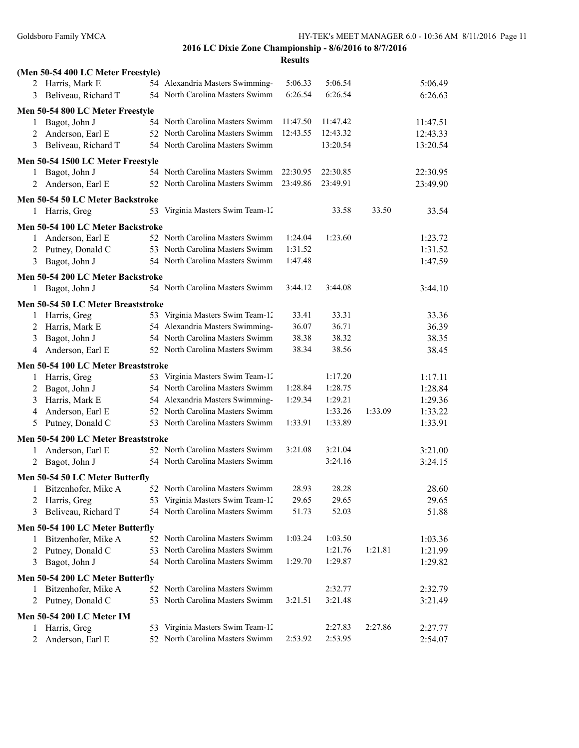|   | (Men 50-54 400 LC Meter Freestyle)  |                                  |          |          |         |          |
|---|-------------------------------------|----------------------------------|----------|----------|---------|----------|
|   | 2 Harris, Mark E                    | 54 Alexandria Masters Swimming-  | 5:06.33  | 5:06.54  |         | 5:06.49  |
| 3 | Beliveau, Richard T                 | 54 North Carolina Masters Swimm  | 6:26.54  | 6:26.54  |         | 6:26.63  |
|   | Men 50-54 800 LC Meter Freestyle    |                                  |          |          |         |          |
| 1 | Bagot, John J                       | 54 North Carolina Masters Swimm  | 11:47.50 | 11:47.42 |         | 11:47.51 |
| 2 | Anderson, Earl E                    | 52 North Carolina Masters Swimm  | 12:43.55 | 12:43.32 |         | 12:43.33 |
| 3 | Beliveau, Richard T                 | 54 North Carolina Masters Swimm  |          | 13:20.54 |         | 13:20.54 |
|   |                                     |                                  |          |          |         |          |
|   | Men 50-54 1500 LC Meter Freestyle   |                                  |          |          |         |          |
| 1 | Bagot, John J                       | 54 North Carolina Masters Swimm  | 22:30.95 | 22:30.85 |         | 22:30.95 |
| 2 | Anderson, Earl E                    | 52 North Carolina Masters Swimm  | 23:49.86 | 23:49.91 |         | 23:49.90 |
|   | Men 50-54 50 LC Meter Backstroke    |                                  |          |          |         |          |
|   | 1 Harris, Greg                      | 53 Virginia Masters Swim Team-12 |          | 33.58    | 33.50   | 33.54    |
|   | Men 50-54 100 LC Meter Backstroke   |                                  |          |          |         |          |
| 1 | Anderson, Earl E                    | 52 North Carolina Masters Swimm  | 1:24.04  | 1:23.60  |         | 1:23.72  |
| 2 | Putney, Donald C                    | 53 North Carolina Masters Swimm  | 1:31.52  |          |         | 1:31.52  |
| 3 | Bagot, John J                       | 54 North Carolina Masters Swimm  | 1:47.48  |          |         | 1:47.59  |
|   |                                     |                                  |          |          |         |          |
|   | Men 50-54 200 LC Meter Backstroke   |                                  | 3:44.12  | 3:44.08  |         |          |
| 1 | Bagot, John J                       | 54 North Carolina Masters Swimm  |          |          |         | 3:44.10  |
|   | Men 50-54 50 LC Meter Breaststroke  |                                  |          |          |         |          |
| 1 | Harris, Greg                        | 53 Virginia Masters Swim Team-12 | 33.41    | 33.31    |         | 33.36    |
| 2 | Harris, Mark E                      | 54 Alexandria Masters Swimming-  | 36.07    | 36.71    |         | 36.39    |
| 3 | Bagot, John J                       | 54 North Carolina Masters Swimm  | 38.38    | 38.32    |         | 38.35    |
| 4 | Anderson, Earl E                    | 52 North Carolina Masters Swimm  | 38.34    | 38.56    |         | 38.45    |
|   | Men 50-54 100 LC Meter Breaststroke |                                  |          |          |         |          |
| 1 | Harris, Greg                        | 53 Virginia Masters Swim Team-12 |          | 1:17.20  |         | 1:17.11  |
| 2 | Bagot, John J                       | 54 North Carolina Masters Swimm  | 1:28.84  | 1:28.75  |         | 1:28.84  |
| 3 | Harris, Mark E                      | 54 Alexandria Masters Swimming-  | 1:29.34  | 1:29.21  |         | 1:29.36  |
| 4 | Anderson, Earl E                    | 52 North Carolina Masters Swimm  |          | 1:33.26  | 1:33.09 | 1:33.22  |
| 5 | Putney, Donald C                    | 53 North Carolina Masters Swimm  | 1:33.91  | 1:33.89  |         | 1:33.91  |
|   | Men 50-54 200 LC Meter Breaststroke |                                  |          |          |         |          |
| 1 | Anderson, Earl E                    | 52 North Carolina Masters Swimm  | 3:21.08  | 3:21.04  |         | 3:21.00  |
| 2 | Bagot, John J                       | 54 North Carolina Masters Swimm  |          | 3:24.16  |         | 3:24.15  |
|   |                                     |                                  |          |          |         |          |
|   | Men 50-54 50 LC Meter Butterfly     |                                  |          |          |         |          |
|   | 1 Bitzenhofer, Mike A               | 52 North Carolina Masters Swimm  | 28.93    | 28.28    |         | 28.60    |
| 2 | Harris, Greg                        | 53 Virginia Masters Swim Team-12 | 29.65    | 29.65    |         | 29.65    |
| 3 | Beliveau, Richard T                 | 54 North Carolina Masters Swimm  | 51.73    | 52.03    |         | 51.88    |
|   | Men 50-54 100 LC Meter Butterfly    |                                  |          |          |         |          |
| 1 | Bitzenhofer, Mike A                 | 52 North Carolina Masters Swimm  | 1:03.24  | 1:03.50  |         | 1:03.36  |
| 2 | Putney, Donald C                    | 53 North Carolina Masters Swimm  |          | 1:21.76  | 1:21.81 | 1:21.99  |
| 3 | Bagot, John J                       | 54 North Carolina Masters Swimm  | 1:29.70  | 1:29.87  |         | 1:29.82  |
|   | Men 50-54 200 LC Meter Butterfly    |                                  |          |          |         |          |
|   | Bitzenhofer, Mike A                 | 52 North Carolina Masters Swimm  |          | 2:32.77  |         | 2:32.79  |
| 2 | Putney, Donald C                    | 53 North Carolina Masters Swimm  | 3:21.51  | 3:21.48  |         | 3:21.49  |
|   |                                     |                                  |          |          |         |          |
|   | <b>Men 50-54 200 LC Meter IM</b>    |                                  |          |          | 2:27.86 |          |
| 1 | Harris, Greg                        | 53 Virginia Masters Swim Team-12 |          | 2:27.83  |         | 2:27.77  |
|   | Anderson, Earl E                    | 52 North Carolina Masters Swimm  | 2:53.92  | 2:53.95  |         | 2:54.07  |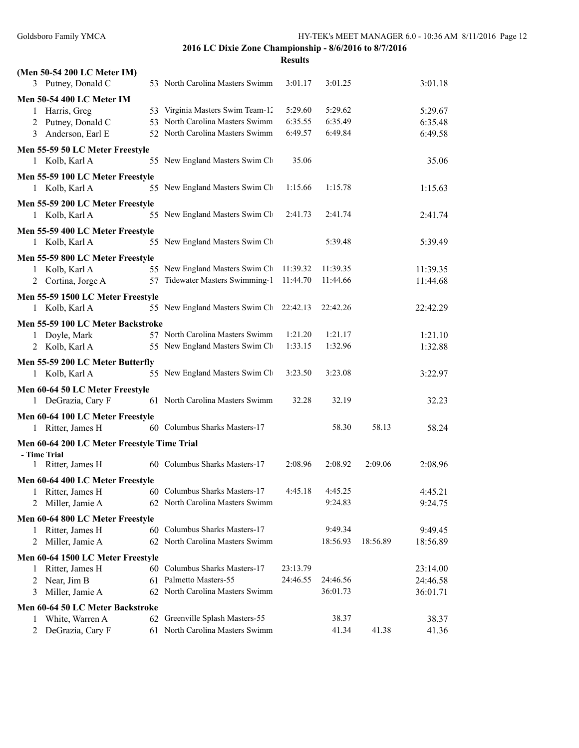## **2016 LC Dixie Zone Championship - 8/6/2016 to 8/7/2016 Results**

| (Men 50-54 200 LC Meter IM)                        |    |                                                                    |          |                |          |          |
|----------------------------------------------------|----|--------------------------------------------------------------------|----------|----------------|----------|----------|
| 3 Putney, Donald C                                 |    | 53 North Carolina Masters Swimm                                    | 3:01.17  | 3:01.25        |          | 3:01.18  |
| <b>Men 50-54 400 LC Meter IM</b>                   |    |                                                                    |          |                |          |          |
| Harris, Greg<br>1                                  |    | 53 Virginia Masters Swim Team-12                                   | 5:29.60  | 5:29.62        |          | 5:29.67  |
| Putney, Donald C<br>2                              |    | 53 North Carolina Masters Swimm                                    | 6:35.55  | 6:35.49        |          | 6:35.48  |
| Anderson, Earl E<br>3                              |    | 52 North Carolina Masters Swimm                                    | 6:49.57  | 6:49.84        |          | 6:49.58  |
| Men 55-59 50 LC Meter Freestyle                    |    |                                                                    |          |                |          |          |
| 1 Kolb, Karl A                                     |    | 55 New England Masters Swim Cli                                    | 35.06    |                |          | 35.06    |
|                                                    |    |                                                                    |          |                |          |          |
| Men 55-59 100 LC Meter Freestyle<br>1 Kolb, Karl A |    | 55 New England Masters Swim Ch                                     | 1:15.66  | 1:15.78        |          | 1:15.63  |
|                                                    |    |                                                                    |          |                |          |          |
| Men 55-59 200 LC Meter Freestyle                   |    |                                                                    |          |                |          |          |
| 1 Kolb, Karl A                                     |    | 55 New England Masters Swim Ch                                     | 2:41.73  | 2:41.74        |          | 2:41.74  |
| Men 55-59 400 LC Meter Freestyle                   |    |                                                                    |          |                |          |          |
| 1 Kolb, Karl A                                     |    | 55 New England Masters Swim Cl                                     |          | 5:39.48        |          | 5:39.49  |
| Men 55-59 800 LC Meter Freestyle                   |    |                                                                    |          |                |          |          |
| Kolb, Karl A<br>1                                  |    | 55 New England Masters Swim Cli                                    | 11:39.32 | 11:39.35       |          | 11:39.35 |
| Cortina, Jorge A<br>2                              | 57 | Tidewater Masters Swimming-1                                       | 11:44.70 | 11:44.66       |          | 11:44.68 |
| Men 55-59 1500 LC Meter Freestyle                  |    |                                                                    |          |                |          |          |
| 1 Kolb, Karl A                                     |    | 55 New England Masters Swim Cli                                    | 22:42.13 | 22:42.26       |          | 22:42.29 |
| Men 55-59 100 LC Meter Backstroke                  |    |                                                                    |          |                |          |          |
| Doyle, Mark<br>$\mathbf{1}$                        |    | 57 North Carolina Masters Swimm                                    | 1:21.20  | 1:21.17        |          | 1:21.10  |
| 2 Kolb, Karl A                                     |    | 55 New England Masters Swim Cl                                     | 1:33.15  | 1:32.96        |          | 1:32.88  |
|                                                    |    |                                                                    |          |                |          |          |
| Men 55-59 200 LC Meter Butterfly                   |    |                                                                    |          |                |          |          |
| 1 Kolb, Karl A                                     |    | 55 New England Masters Swim Cli                                    | 3:23.50  | 3:23.08        |          | 3:22.97  |
| Men 60-64 50 LC Meter Freestyle                    |    |                                                                    |          |                |          |          |
| 1 DeGrazia, Cary F                                 |    | 61 North Carolina Masters Swimm                                    | 32.28    | 32.19          |          | 32.23    |
| Men 60-64 100 LC Meter Freestyle                   |    |                                                                    |          |                |          |          |
| Ritter, James H<br>1                               |    | 60 Columbus Sharks Masters-17                                      |          | 58.30          | 58.13    | 58.24    |
| Men 60-64 200 LC Meter Freestyle Time Trial        |    |                                                                    |          |                |          |          |
| - Time Trial                                       |    |                                                                    |          |                |          |          |
| 1 Ritter, James H                                  |    | 60 Columbus Sharks Masters-17                                      | 2:08.96  | 2:08.92        | 2:09.06  | 2:08.96  |
| Men 60-64 400 LC Meter Freestyle                   |    |                                                                    |          |                |          |          |
| $\mathbf{1}$<br>Ritter, James H                    |    | 60 Columbus Sharks Masters-17                                      | 4:45.18  | 4:45.25        |          | 4:45.21  |
| Miller, Jamie A<br>2                               |    | 62 North Carolina Masters Swimm                                    |          | 9:24.83        |          | 9:24.75  |
| Men 60-64 800 LC Meter Freestyle                   |    |                                                                    |          |                |          |          |
| Ritter, James H                                    | 60 | Columbus Sharks Masters-17                                         |          | 9:49.34        |          | 9:49.45  |
| Miller, Jamie A<br>2                               | 62 | North Carolina Masters Swimm                                       |          | 18:56.93       | 18:56.89 | 18:56.89 |
| Men 60-64 1500 LC Meter Freestyle                  |    |                                                                    |          |                |          |          |
| Ritter, James H<br>1                               |    | 60 Columbus Sharks Masters-17                                      | 23:13.79 |                |          | 23:14.00 |
| Near, Jim B<br>2                                   |    | 61 Palmetto Masters-55                                             | 24:46.55 | 24:46.56       |          | 24:46.58 |
| Miller, Jamie A<br>3                               |    | 62 North Carolina Masters Swimm                                    |          | 36:01.73       |          | 36:01.71 |
|                                                    |    |                                                                    |          |                |          |          |
| Men 60-64 50 LC Meter Backstroke                   |    |                                                                    |          |                |          |          |
| White, Warren A<br>1                               |    | 62 Greenville Splash Masters-55<br>61 North Carolina Masters Swimm |          | 38.37<br>41.34 | 41.38    | 38.37    |
| DeGrazia, Cary F<br>2                              |    |                                                                    |          |                |          | 41.36    |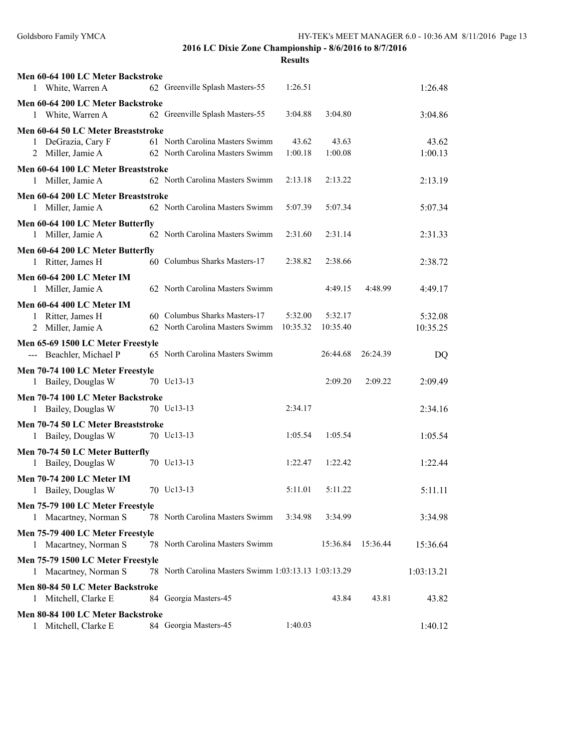| Men 60-64 100 LC Meter Backstroke                       |    |                                                    |          |          |          |            |
|---------------------------------------------------------|----|----------------------------------------------------|----------|----------|----------|------------|
| White, Warren A<br>1                                    |    | 62 Greenville Splash Masters-55                    | 1:26.51  |          |          | 1:26.48    |
| Men 60-64 200 LC Meter Backstroke                       |    |                                                    |          |          |          |            |
| 1 White, Warren A                                       |    | 62 Greenville Splash Masters-55                    | 3:04.88  | 3:04.80  |          | 3:04.86    |
| Men 60-64 50 LC Meter Breaststroke                      |    |                                                    |          |          |          |            |
| 1 DeGrazia, Cary F                                      |    | 61 North Carolina Masters Swimm                    | 43.62    | 43.63    |          | 43.62      |
| Miller, Jamie A<br>2                                    |    | 62 North Carolina Masters Swimm                    | 1:00.18  | 1:00.08  |          | 1:00.13    |
| Men 60-64 100 LC Meter Breaststroke                     |    |                                                    |          |          |          |            |
| Miller, Jamie A<br>1                                    |    | 62 North Carolina Masters Swimm                    | 2:13.18  | 2:13.22  |          | 2:13.19    |
| Men 60-64 200 LC Meter Breaststroke                     |    |                                                    |          |          |          |            |
| 1 Miller, Jamie A                                       |    | 62 North Carolina Masters Swimm                    | 5:07.39  | 5:07.34  |          | 5:07.34    |
| Men 60-64 100 LC Meter Butterfly                        |    |                                                    |          |          |          |            |
| 1 Miller, Jamie A                                       |    | 62 North Carolina Masters Swimm                    | 2:31.60  | 2:31.14  |          | 2:31.33    |
| Men 60-64 200 LC Meter Butterfly                        |    |                                                    |          |          |          |            |
| 1 Ritter, James H                                       |    | 60 Columbus Sharks Masters-17                      | 2:38.82  | 2:38.66  |          | 2:38.72    |
| Men 60-64 200 LC Meter IM                               |    |                                                    |          |          |          |            |
| 1 Miller, Jamie A                                       |    | 62 North Carolina Masters Swimm                    |          | 4:49.15  | 4:48.99  | 4:49.17    |
| Men 60-64 400 LC Meter IM                               |    |                                                    |          |          |          |            |
| Ritter, James H<br>1                                    |    | 60 Columbus Sharks Masters-17                      | 5:32.00  | 5:32.17  |          | 5:32.08    |
| Miller, Jamie A                                         |    | 62 North Carolina Masters Swimm                    | 10:35.32 | 10:35.40 |          | 10:35.25   |
| Men 65-69 1500 LC Meter Freestyle                       |    |                                                    |          |          |          |            |
| --- Beachler, Michael P                                 |    | 65 North Carolina Masters Swimm                    |          | 26:44.68 | 26:24.39 | DQ         |
| Men 70-74 100 LC Meter Freestyle                        |    |                                                    |          |          |          |            |
| 1 Bailey, Douglas W                                     |    | 70 Uc13-13                                         |          | 2:09.20  | 2:09.22  | 2:09.49    |
| Men 70-74 100 LC Meter Backstroke                       |    |                                                    |          |          |          |            |
| 1 Bailey, Douglas W                                     |    | 70 Uc13-13                                         | 2:34.17  |          |          | 2:34.16    |
| Men 70-74 50 LC Meter Breaststroke                      |    |                                                    |          |          |          |            |
| 1 Bailey, Douglas W                                     |    | 70 Uc13-13                                         | 1:05.54  | 1:05.54  |          | 1:05.54    |
| Men 70-74 50 LC Meter Butterfly                         |    |                                                    |          |          |          |            |
| Bailey, Douglas W<br>1                                  |    | 70 Uc13-13                                         | 1:22.47  | 1:22.42  |          | 1:22.44    |
|                                                         |    |                                                    |          |          |          |            |
| <b>Men 70-74 200 LC Meter IM</b><br>1 Bailey, Douglas W |    | 70 Uc13-13                                         | 5:11.01  | 5:11.22  |          | 5:11.11    |
|                                                         |    |                                                    |          |          |          |            |
| Men 75-79 100 LC Meter Freestyle                        |    | 78 North Carolina Masters Swimm                    | 3:34.98  | 3:34.99  |          |            |
| 1 Macartney, Norman S                                   |    |                                                    |          |          |          | 3:34.98    |
| Men 75-79 400 LC Meter Freestyle                        |    |                                                    |          |          |          |            |
| 1 Macartney, Norman S                                   |    | 78 North Carolina Masters Swimm                    |          | 15:36.84 | 15:36.44 | 15:36.64   |
| Men 75-79 1500 LC Meter Freestyle                       |    |                                                    |          |          |          |            |
| Macartney, Norman S<br>1                                | 78 | North Carolina Masters Swimm 1:03:13.13 1:03:13.29 |          |          |          | 1:03:13.21 |
| Men 80-84 50 LC Meter Backstroke                        |    |                                                    |          |          |          |            |
| Mitchell, Clarke E<br>1                                 |    | 84 Georgia Masters-45                              |          | 43.84    | 43.81    | 43.82      |
| Men 80-84 100 LC Meter Backstroke                       |    |                                                    |          |          |          |            |
| Mitchell, Clarke E<br>1                                 |    | 84 Georgia Masters-45                              | 1:40.03  |          |          | 1:40.12    |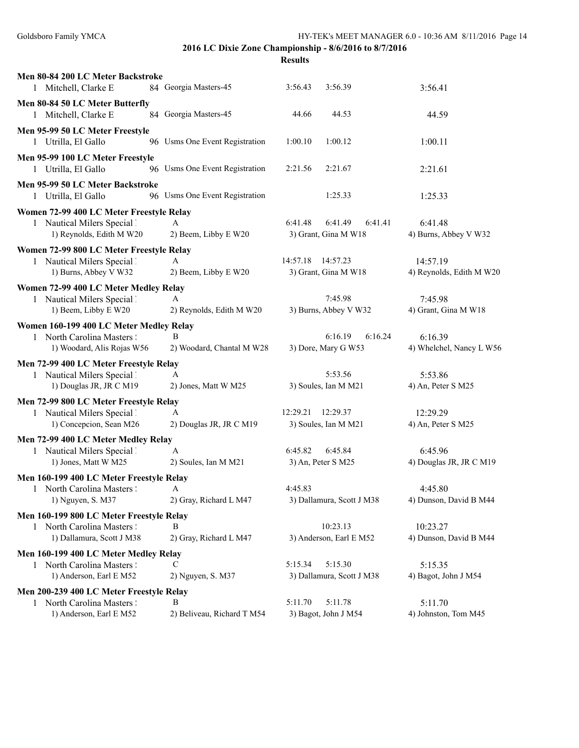| Men 80-84 200 LC Meter Backstroke<br>1 Mitchell, Clarke E                                           | 84 Georgia Masters-45           | 3:56.43                       | 3:56.39                                    | 3:56.41                              |
|-----------------------------------------------------------------------------------------------------|---------------------------------|-------------------------------|--------------------------------------------|--------------------------------------|
| Men 80-84 50 LC Meter Butterfly<br>1 Mitchell, Clarke E                                             | 84 Georgia Masters-45           | 44.66                         | 44.53                                      | 44.59                                |
| Men 95-99 50 LC Meter Freestyle<br>1 Utrilla, El Gallo                                              | 96 Usms One Event Registration  | 1:00.10                       | 1:00.12                                    | 1:00.11                              |
| Men 95-99 100 LC Meter Freestyle<br>1 Utrilla, El Gallo                                             | 96 Usms One Event Registration  | 2:21.56                       | 2:21.67                                    | 2:21.61                              |
| Men 95-99 50 LC Meter Backstroke<br>1 Utrilla, El Gallo                                             | 96 Usms One Event Registration  |                               | 1:25.33                                    | 1:25.33                              |
| Women 72-99 400 LC Meter Freestyle Relay<br>1 Nautical Milers Special 1<br>1) Reynolds, Edith M W20 | A<br>2) Beem, Libby E W20       | 6:41.48                       | 6:41.49<br>6:41.41<br>3) Grant, Gina M W18 | 6:41.48<br>4) Burns, Abbey V W32     |
| Women 72-99 800 LC Meter Freestyle Relay<br>1 Nautical Milers Special 1<br>1) Burns, Abbey V W32    | A<br>2) Beem, Libby E W20       | 14:57.18                      | 14:57.23<br>3) Grant, Gina M W18           | 14:57.19<br>4) Reynolds, Edith M W20 |
| Women 72-99 400 LC Meter Medley Relay<br>1 Nautical Milers Special 1<br>1) Beem, Libby E W20        | A<br>2) Reynolds, Edith M W20   |                               | 7:45.98<br>3) Burns, Abbey V W32           | 7:45.98<br>4) Grant, Gina M W18      |
| Women 160-199 400 LC Meter Medley Relay<br>1 North Carolina Masters :<br>1) Woodard, Alis Rojas W56 | B<br>2) Woodard, Chantal M W28  |                               | 6:16.19<br>6:16.24<br>3) Dore, Mary G W53  | 6:16.39<br>4) Whelchel, Nancy L W56  |
| Men 72-99 400 LC Meter Freestyle Relay<br>1 Nautical Milers Special 1<br>1) Douglas JR, JR C M19    | A<br>2) Jones, Matt W M25       |                               | 5:53.56<br>3) Soules, Ian M M21            | 5:53.86<br>4) An, Peter S M25        |
| Men 72-99 800 LC Meter Freestyle Relay<br>1 Nautical Milers Special 1<br>1) Concepcion, Sean M26    | A<br>2) Douglas JR, JR C M19    | 12:29.21                      | 12:29.37<br>3) Soules, Ian M M21           | 12:29.29<br>4) An, Peter S M25       |
| Men 72-99 400 LC Meter Medley Relay<br>1 Nautical Milers Special 1<br>1) Jones, Matt W M25          | A<br>2) Soules, Ian M M21       | 6:45.82<br>3) An, Peter S M25 | 6:45.84                                    | 6:45.96<br>4) Douglas JR, JR C M19   |
| Men 160-199 400 LC Meter Freestyle Relay<br>1 North Carolina Masters :<br>1) Nguyen, S. M37         | A<br>2) Gray, Richard L M47     | 4:45.83                       | 3) Dallamura, Scott J M38                  | 4:45.80<br>4) Dunson, David B M44    |
| Men 160-199 800 LC Meter Freestyle Relay<br>1 North Carolina Masters :<br>1) Dallamura, Scott J M38 | В<br>2) Gray, Richard L M47     |                               | 10:23.13<br>3) Anderson, Earl E M52        | 10:23.27<br>4) Dunson, David B M44   |
| Men 160-199 400 LC Meter Medley Relay<br>1 North Carolina Masters !<br>1) Anderson, Earl E M52      | C<br>2) Nguyen, S. M37          | 5:15.34                       | 5:15.30<br>3) Dallamura, Scott J M38       | 5:15.35<br>4) Bagot, John J M54      |
| Men 200-239 400 LC Meter Freestyle Relay<br>1 North Carolina Masters :<br>1) Anderson, Earl E M52   | B<br>2) Beliveau, Richard T M54 | 5:11.70                       | 5:11.78<br>3) Bagot, John J M54            | 5:11.70<br>4) Johnston, Tom M45      |